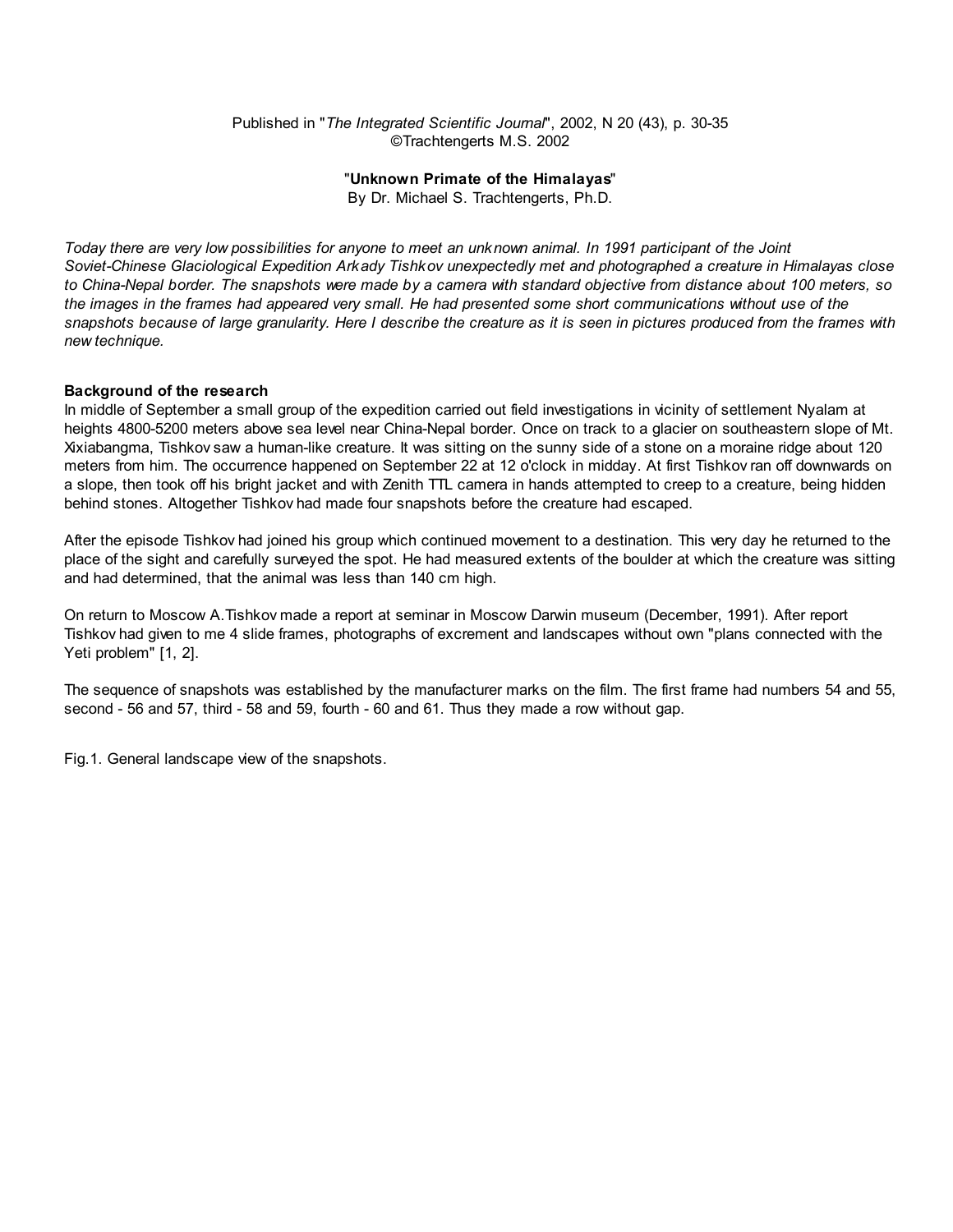## Published in "The Integrated Scientific Journal", 2002, N 20 (43), p. 30-35 ©Trachtengerts M.S. 2002

# "Unknown Primate of the Himalayas"

By Dr. Michael S. Trachtengerts, Ph.D.

Today there are very low possibilities for anyone to meet an unknown animal. In 1991 participant of the Joint Soviet-Chinese Glaciological Expedition Arkady Tishkov unexpectedly met and photographed a creature in Himalayas close to China-Nepal border. The snapshots were made by a camera with standard objective from distance about 100 meters, so the images in the frames had appeared very small. He had presented some short communications without use of the snapshots because of large granularity. Here I describe the creature as it is seen in pictures produced from the frames with new technique.

## Background of the research

In middle of September a small group of the expedition carried out field investigations in vicinity of settlement Nyalam at heights 4800-5200 meters above sea level near China-Nepal border. Once on track to a glacier on southeastern slope of Mt. Xixiabangma, Tishkov saw a human-like creature. It was sitting on the sunny side of a stone on a moraine ridge about 120 meters from him. The occurrence happened on September 22 at 12 o'clock in midday. At first Tishkov ran off downwards on a slope, then took off his bright jacket and with Zenith TTL camera in hands attempted to creep to a creature, being hidden behind stones. Altogether Tishkov had made four snapshots before the creature had escaped.

After the episode Tishkov had joined his group which continued movement to a destination. This very day he returned to the place of the sight and carefully surveyed the spot. He had measured extents of the boulder at which the creature was sitting and had determined, that the animal was less than 140 cm high.

On return to Moscow A.Tishkov made a report at seminar in Moscow Darwin museum (December, 1991). After report Tishkov had given to me 4 slide frames, photographs of excrement and landscapes without own "plans connected with the Yeti problem" [1, 2].

The sequence of snapshots was established by the manufacturer marks on the film. The first frame had numbers 54 and 55, second - 56 and 57, third - 58 and 59, fourth - 60 and 61. Thus they made a row without gap.

Fig.1. General landscape view of the snapshots.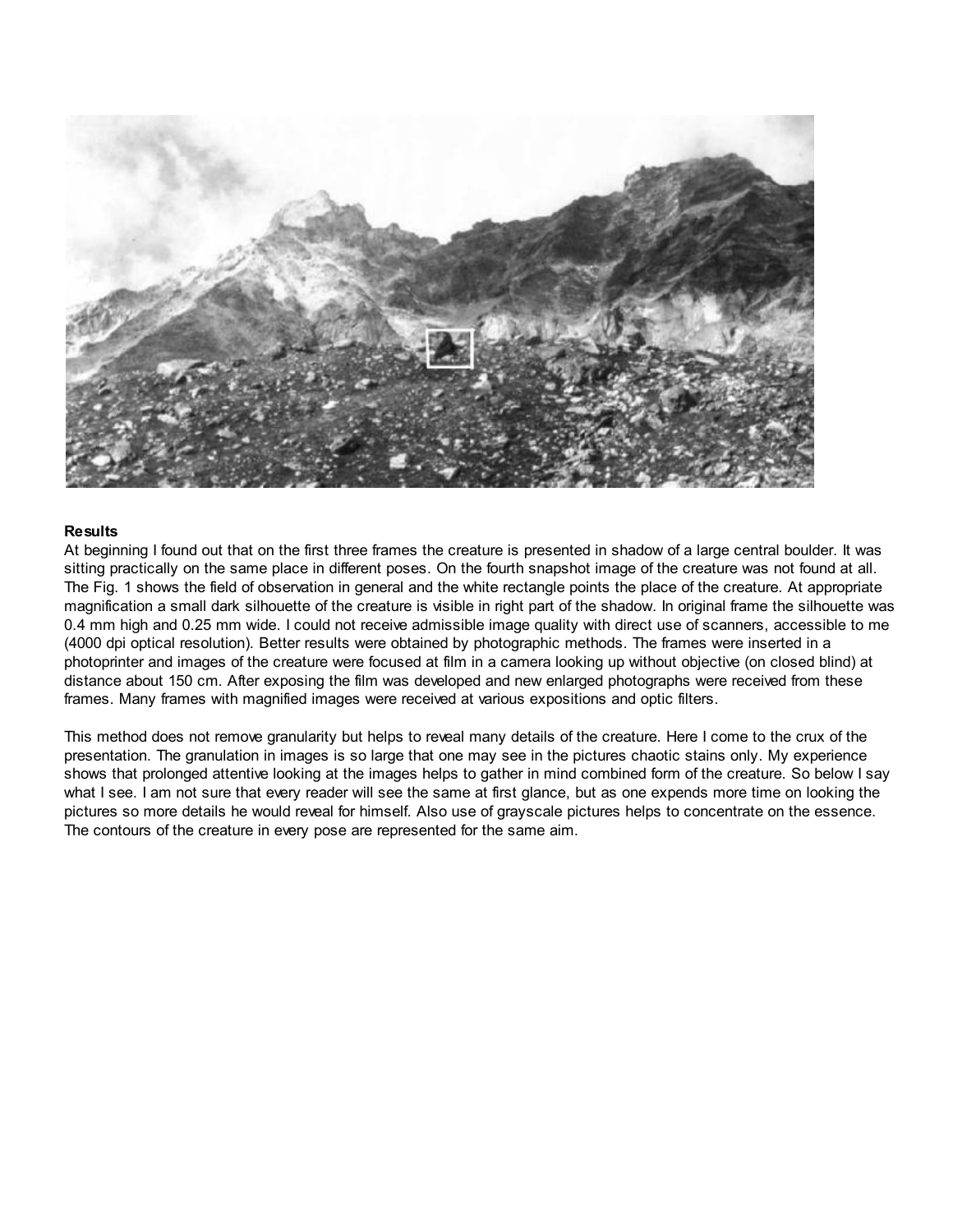

### **Results**

At beginning I found out that on the first three frames the creature is presented in shadow of a large central boulder. It was sitting practically on the same place in different poses. On the fourth snapshot image of the creature was not found at all. The Fig. 1 shows the field of observation in general and the white rectangle points the place of the creature. At appropriate magnification a small dark silhouette of the creature is visible in right part of the shadow. In original frame the silhouette was 0.4 mm high and 0.25 mm wide. I could not receive admissible image quality with direct use of scanners, accessible to me (4000 dpi optical resolution). Better results were obtained by photographic methods. The frames were inserted in a photoprinter and images of the creature were focused at film in a camera looking up without objective (on closed blind) at distance about 150 cm. After exposing the film was developed and new enlarged photographs were received from these frames. Many frames with magnified images were received at various expositions and optic filters.

This method does not remove granularity but helps to reveal many details of the creature. Here I come to the crux of the presentation. The granulation in images is so large that one may see in the pictures chaotic stains only. My experience shows that prolonged attentive looking at the images helps to gather in mind combined form of the creature. So below I say what I see. I am not sure that every reader will see the same at first glance, but as one expends more time on looking the pictures so more details he would reveal for himself. Also use of grayscale pictures helps to concentrate on the essence. The contours of the creature in every pose are represented for the same aim.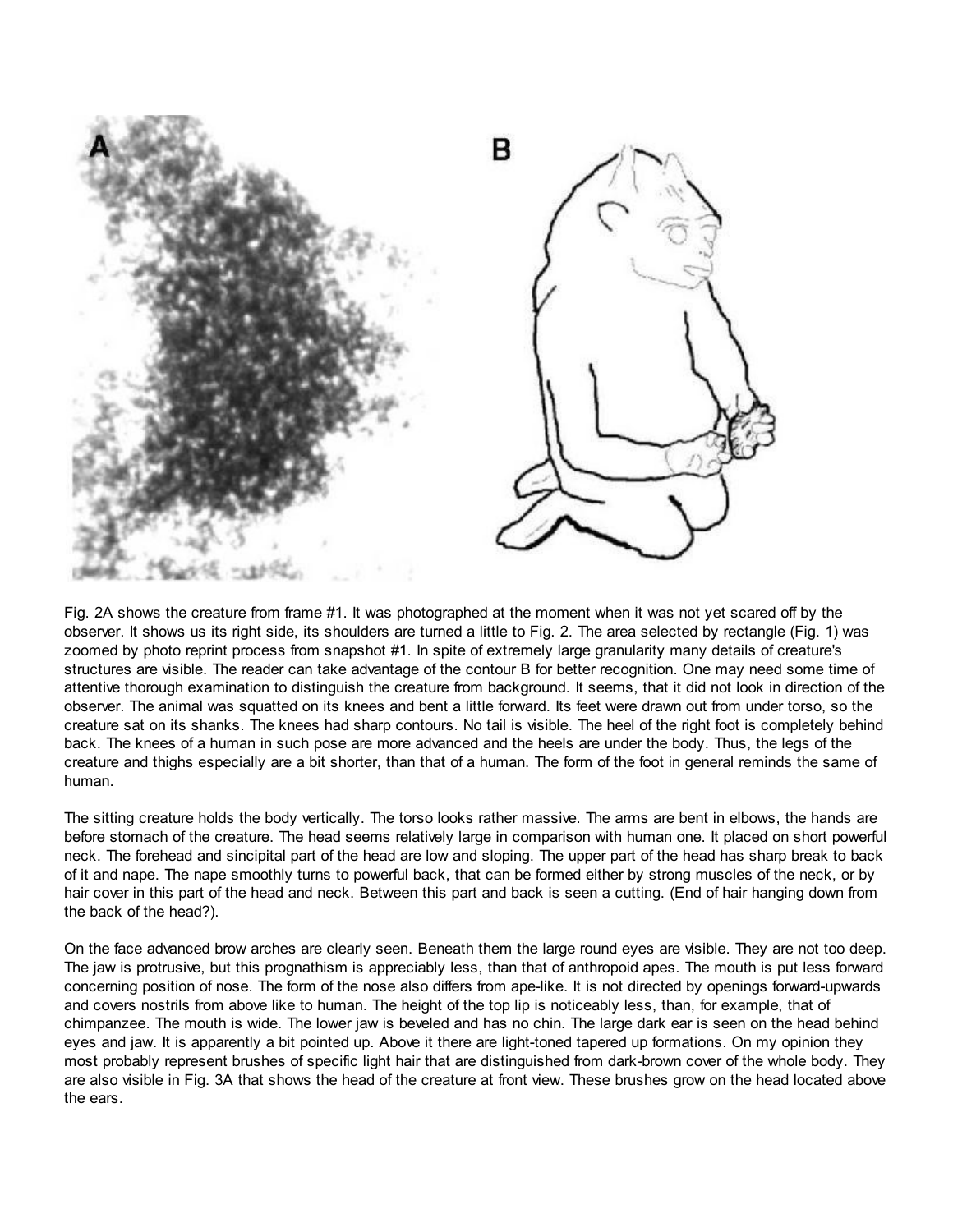

Fig. 2A shows the creature from frame #1. It was photographed at the moment when it was not yet scared off by the observer. It shows us its right side, its shoulders are turned a little to Fig. 2. The area selected by rectangle (Fig. 1) was zoomed by photo reprint process from snapshot #1. In spite of extremely large granularity many details of creature's structures are visible. The reader can take advantage of the contour B for better recognition. One may need some time of attentive thorough examination to distinguish the creature from background. It seems, that it did not look in direction of the observer. The animal was squatted on its knees and bent a little forward. Its feet were drawn out from under torso, so the creature sat on its shanks. The knees had sharp contours. No tail is visible. The heel of the right foot is completely behind back. The knees of a human in such pose are more advanced and the heels are under the body. Thus, the legs of the creature and thighs especially are a bit shorter, than that of a human. The form of the foot in general reminds the same of human.

The sitting creature holds the body vertically. The torso looks rather massive. The arms are bent in elbows, the hands are before stomach of the creature. The head seems relatively large in comparison with human one. It placed on short powerful neck. The forehead and sincipital part of the head are low and sloping. The upper part of the head has sharp break to back of it and nape. The nape smoothly turns to powerful back, that can be formed either by strong muscles of the neck, or by hair cover in this part of the head and neck. Between this part and back is seen a cutting. (End of hair hanging down from the back of the head?).

On the face advanced brow arches are clearly seen. Beneath them the large round eyes are visible. They are not too deep. The jaw is protrusive, but this prognathism is appreciably less, than that of anthropoid apes. The mouth is put less forward concerning position of nose. The form of the nose also differs from ape-like. It is not directed by openings forward-upwards and covers nostrils from above like to human. The height of the top lip is noticeably less, than, for example, that of chimpanzee. The mouth is wide. The lower jaw is beveled and has no chin. The large dark ear is seen on the head behind eyes and jaw. It is apparently a bit pointed up. Above it there are light-toned tapered up formations. On my opinion they most probably represent brushes of specific light hair that are distinguished from dark-brown cover of the whole body. They are also visible in Fig. 3A that shows the head of the creature at front view. These brushes grow on the head located above the ears.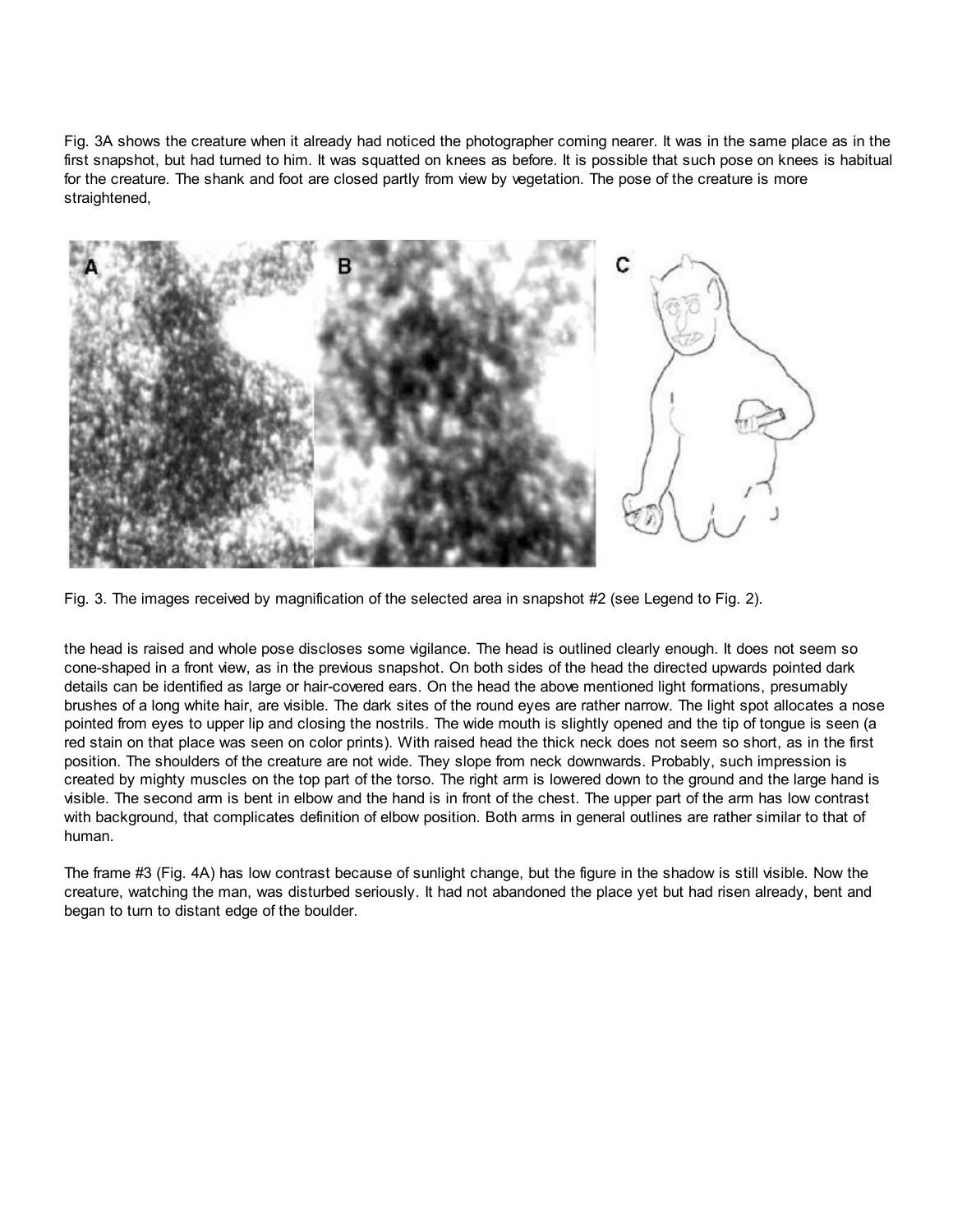Fig. 3A shows the creature when it already had noticed the photographer coming nearer. It was in the same place as in the first snapshot, but had turned to him. It was squatted on knees as before. It is possible that such pose on knees is habitual for the creature. The shank and foot are closed partly from view by vegetation. The pose of the creature is more straightened,



Fig. 3. The images received by magnification of the selected area in snapshot #2 (see Legend to Fig. 2).

the head is raised and whole pose discloses some vigilance. The head is outlined clearly enough. It does not seem so cone-shaped in a front view, as in the previous snapshot. On both sides of the head the directed upwards pointed dark details can be identified as large or hair-covered ears. On the head the above mentioned light formations, presumably brushes of a long white hair, are visible. The dark sites of the round eyes are rather narrow. The light spot allocates a nose pointed from eyes to upper lip and closing the nostrils. The wide mouth is slightly opened and the tip of tongue is seen (a red stain on that place was seen on color prints). With raised head the thick neck does not seem so short, as in the first position. The shoulders of the creature are not wide. They slope from neck downwards. Probably, such impression is created by mighty muscles on the top part of the torso. The right arm is lowered down to the ground and the large hand is visible. The second arm is bent in elbow and the hand is in front of the chest. The upper part of the arm has low contrast with background, that complicates definition of elbow position. Both arms in general outlines are rather similar to that of human.

The frame #3 (Fig. 4A) has low contrast because of sunlight change, but the figure in the shadow is still visible. Now the creature, watching the man, was disturbed seriously. It had not abandoned the place yet but had risen already, bent and began to turn to distant edge of the boulder.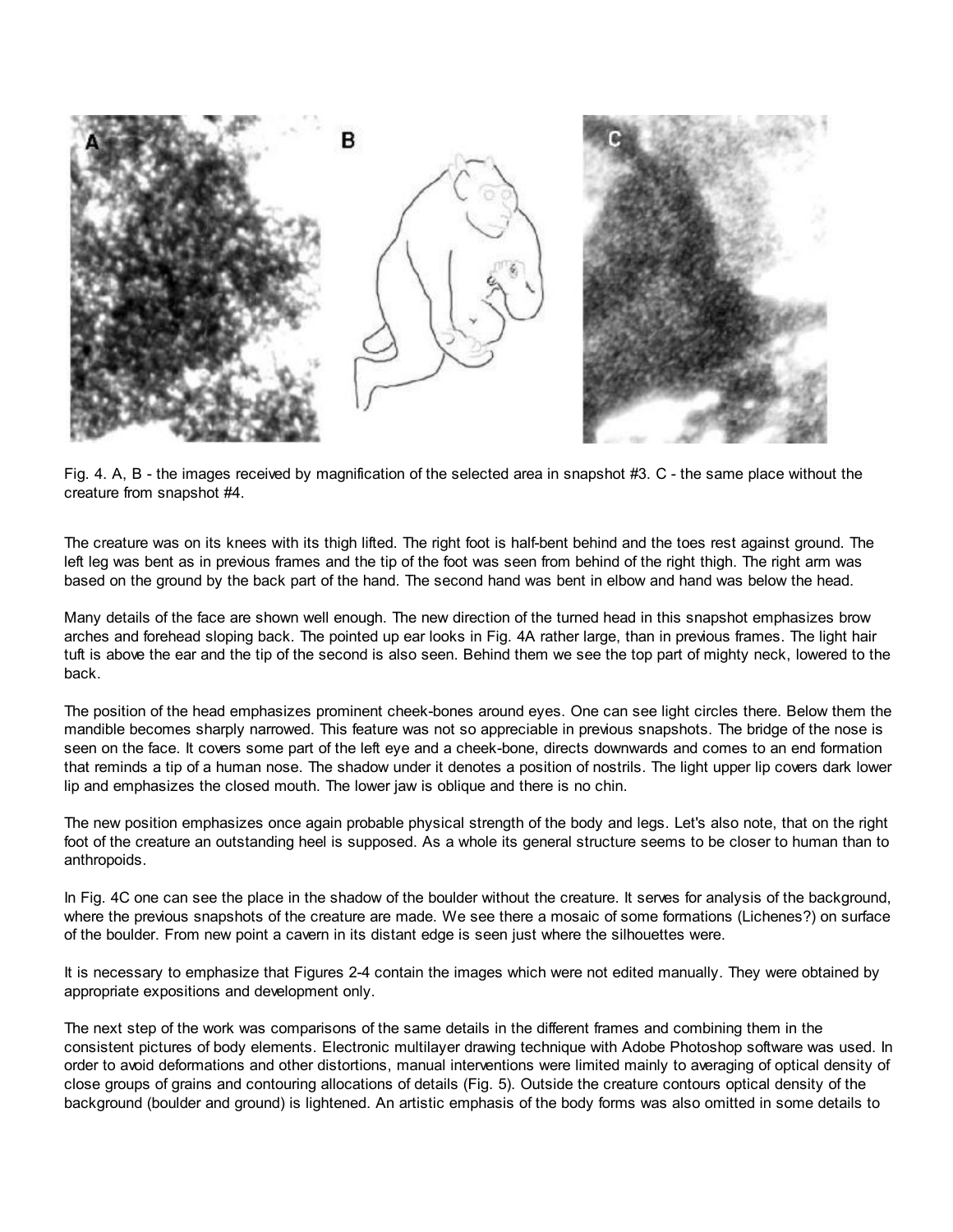

Fig. 4. A, B - the images received by magnification of the selected area in snapshot #3. C - the same place without the creature from snapshot #4.

The creature was on its knees with its thigh lifted. The right foot is half-bent behind and the toes rest against ground. The left leg was bent as in previous frames and the tip of the foot was seen from behind of the right thigh. The right arm was based on the ground by the back part of the hand. The second hand was bent in elbow and hand was below the head.

Many details of the face are shown well enough. The new direction of the turned head in this snapshot emphasizes brow arches and forehead sloping back. The pointed up ear looks in Fig. 4A rather large, than in previous frames. The light hair tuft is above the ear and the tip of the second is also seen. Behind them we see the top part of mighty neck, lowered to the back.

The position of the head emphasizes prominent cheek-bones around eyes. One can see light circles there. Below them the mandible becomes sharply narrowed. This feature was not so appreciable in previous snapshots. The bridge of the nose is seen on the face. It covers some part of the left eye and a cheek-bone, directs downwards and comes to an end formation that reminds a tip of a human nose. The shadow under it denotes a position of nostrils. The light upper lip covers dark lower lip and emphasizes the closed mouth. The lower jaw is oblique and there is no chin.

The new position emphasizes once again probable physical strength of the body and legs. Let's also note, that on the right foot of the creature an outstanding heel is supposed. As a whole its general structure seems to be closer to human than to anthropoids.

In Fig. 4C one can see the place in the shadow of the boulder without the creature. It serves for analysis of the background, where the previous snapshots of the creature are made. We see there a mosaic of some formations (Lichenes?) on surface of the boulder. From new point a cavern in its distant edge is seen just where the silhouettes were.

It is necessary to emphasize that Figures 2-4 contain the images which were not edited manually. They were obtained by appropriate expositions and development only.

The next step of the work was comparisons of the same details in the different frames and combining them in the consistent pictures of body elements. Electronic multilayer drawing technique with Adobe Photoshop software was used. In order to avoid deformations and other distortions, manual interventions were limited mainly to averaging of optical density of close groups of grains and contouring allocations of details (Fig. 5). Outside the creature contours optical density of the background (boulder and ground) is lightened. An artistic emphasis of the body forms was also omitted in some details to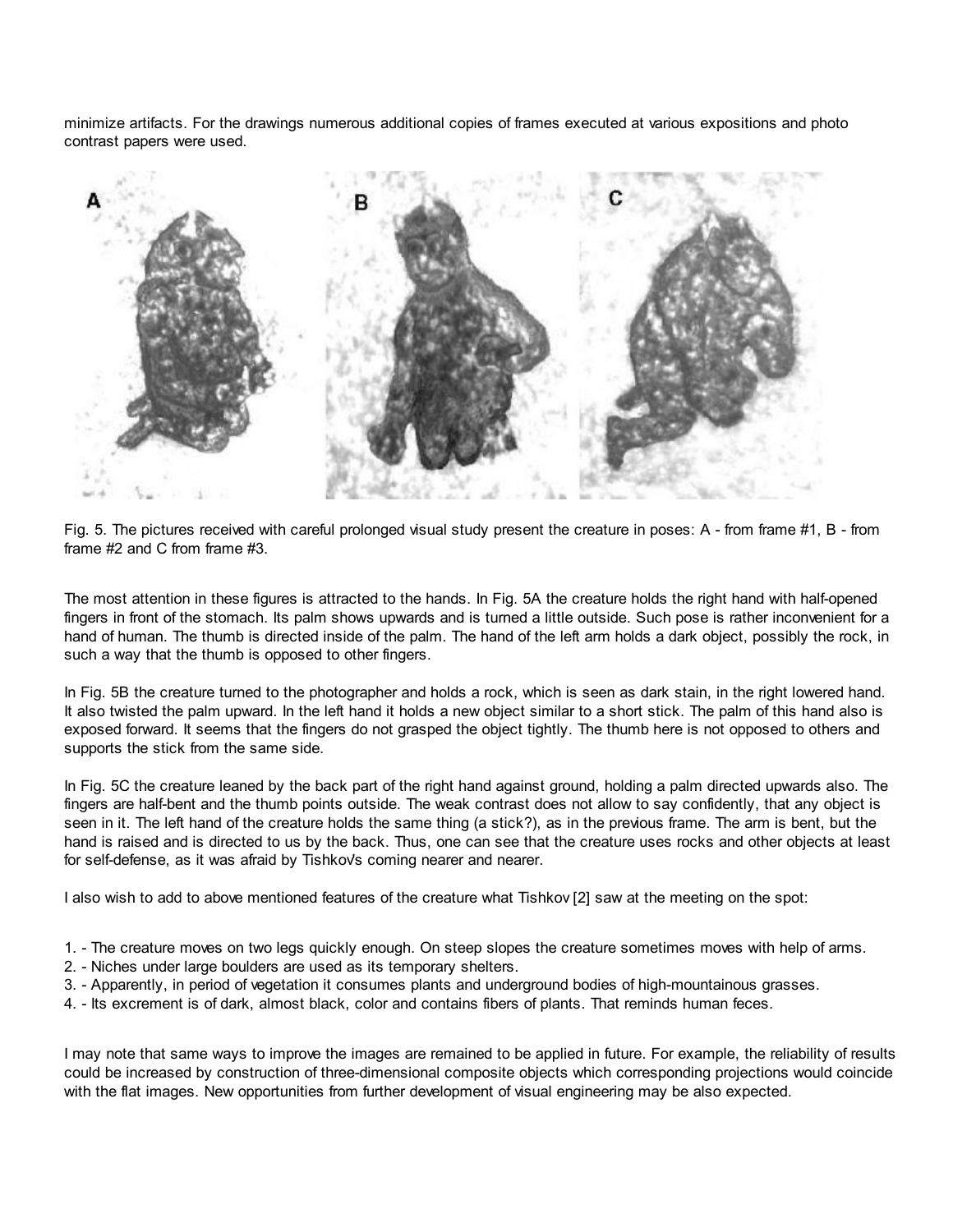minimize artifacts. For the drawings numerous additional copies of frames executed at various expositions and photo contrast papers were used.



Fig. 5. The pictures received with careful prolonged visual study present the creature in poses: A - from frame #1, B - from frame #2 and C from frame #3.

The most attention in these figures is attracted to the hands. In Fig. 5A the creature holds the right hand with half-opened fingers in front of the stomach. Its palm shows upwards and is turned a little outside. Such pose is rather inconvenient for a hand of human. The thumb is directed inside of the palm. The hand of the left arm holds a dark object, possibly the rock, in such a way that the thumb is opposed to other fingers.

In Fig. 5B the creature turned to the photographer and holds a rock, which is seen as dark stain, in the right lowered hand. It also twisted the palm upward. In the left hand it holds a new object similar to a short stick. The palm of this hand also is exposed forward. It seems that the fingers do not grasped the object tightly. The thumb here is not opposed to others and supports the stick from the same side.

In Fig. 5C the creature leaned by the back part of the right hand against ground, holding a palm directed upwards also. The fingers are half-bent and the thumb points outside. The weak contrast does not allow to say confidently, that any object is seen in it. The left hand of the creature holds the same thing (a stick?), as in the previous frame. The arm is bent, but the hand is raised and is directed to us by the back. Thus, one can see that the creature uses rocks and other objects at least for self-defense, as it was afraid by Tishkov's coming nearer and nearer.

I also wish to add to above mentioned features of the creature what Tishkov [2] saw at the meeting on the spot:

- 1. The creature moves on two legs quickly enough. On steep slopes the creature sometimes moves with help of arms.
- 2. Niches under large boulders are used as its temporary shelters.
- 3. Apparently, in period of vegetation it consumes plants and underground bodies of high-mountainous grasses.
- 4. Its excrement is of dark, almost black, color and contains fibers of plants. That reminds human feces.

I may note that same ways to improve the images are remained to be applied in future. For example, the reliability of results could be increased by construction of three-dimensional composite objects which corresponding projections would coincide with the flat images. New opportunities from further development of visual engineering may be also expected.